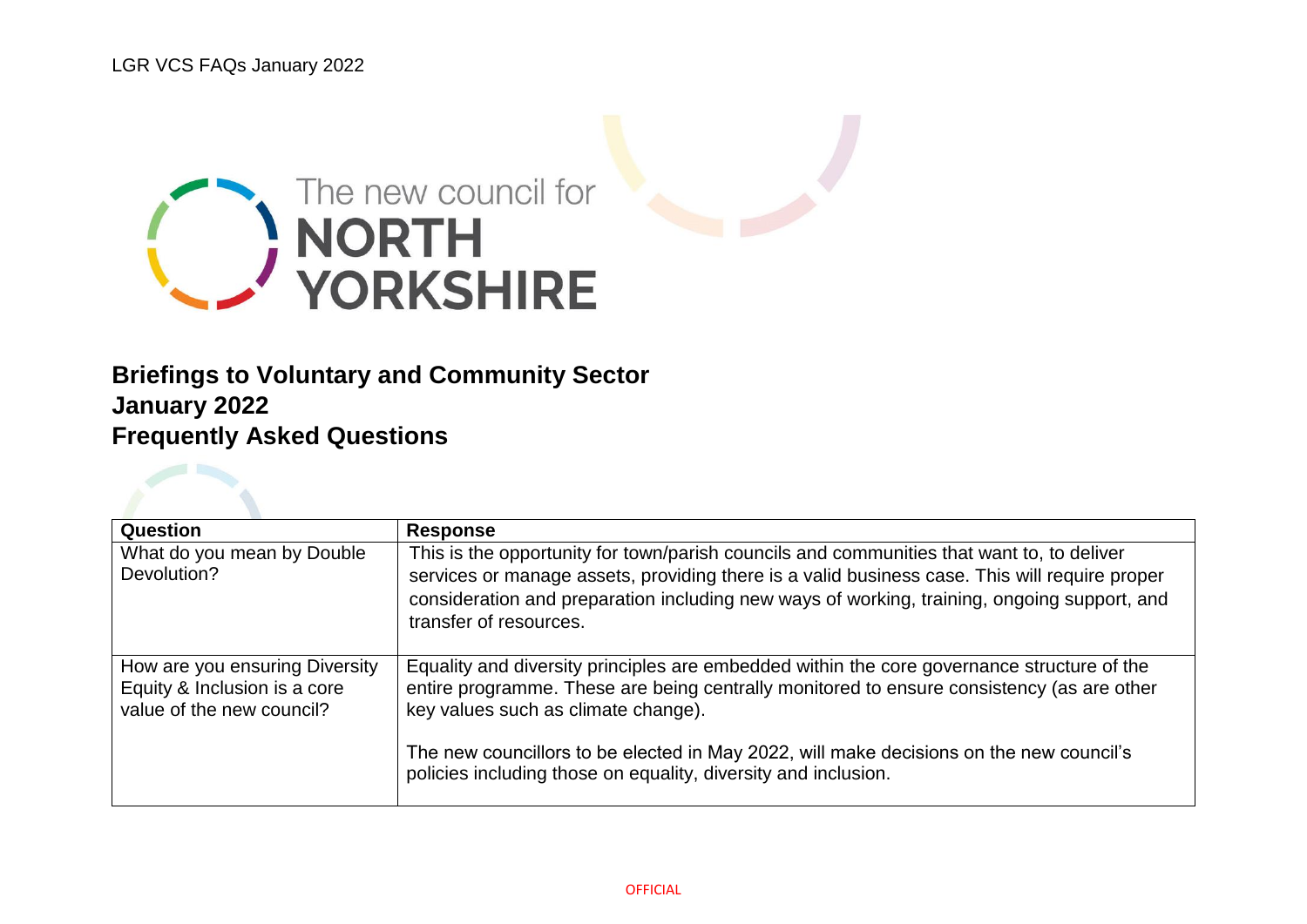

## **Briefings to Voluntary and Community Sector January 2022 Frequently Asked Questions**

| Question                                                                                    | <b>Response</b>                                                                                                                                                                                                                                                                                                     |
|---------------------------------------------------------------------------------------------|---------------------------------------------------------------------------------------------------------------------------------------------------------------------------------------------------------------------------------------------------------------------------------------------------------------------|
| What do you mean by Double<br>Devolution?                                                   | This is the opportunity for town/parish councils and communities that want to, to deliver<br>services or manage assets, providing there is a valid business case. This will require proper<br>consideration and preparation including new ways of working, training, ongoing support, and<br>transfer of resources. |
| How are you ensuring Diversity<br>Equity & Inclusion is a core<br>value of the new council? | Equality and diversity principles are embedded within the core governance structure of the<br>entire programme. These are being centrally monitored to ensure consistency (as are other<br>key values such as climate change).                                                                                      |
|                                                                                             | The new councillors to be elected in May 2022, will make decisions on the new council's<br>policies including those on equality, diversity and inclusion.                                                                                                                                                           |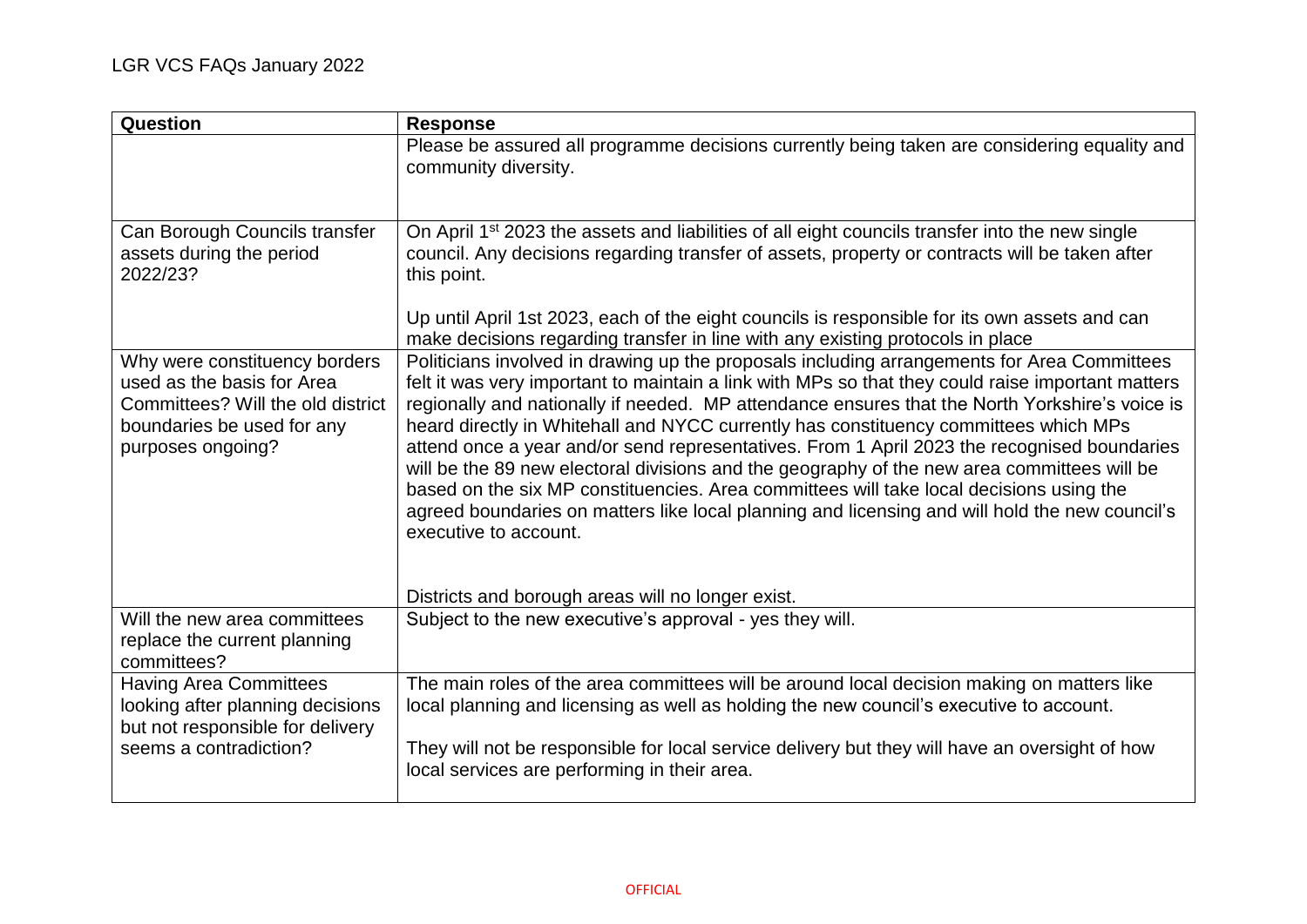| Question                                                                                                                                            | <b>Response</b>                                                                                                                                                                                                                                                                                                                                                                                                                                                                                                                                                                                                                                                                                                                                                                                                |
|-----------------------------------------------------------------------------------------------------------------------------------------------------|----------------------------------------------------------------------------------------------------------------------------------------------------------------------------------------------------------------------------------------------------------------------------------------------------------------------------------------------------------------------------------------------------------------------------------------------------------------------------------------------------------------------------------------------------------------------------------------------------------------------------------------------------------------------------------------------------------------------------------------------------------------------------------------------------------------|
|                                                                                                                                                     | Please be assured all programme decisions currently being taken are considering equality and<br>community diversity.                                                                                                                                                                                                                                                                                                                                                                                                                                                                                                                                                                                                                                                                                           |
| Can Borough Councils transfer<br>assets during the period<br>2022/23?                                                                               | On April 1 <sup>st</sup> 2023 the assets and liabilities of all eight councils transfer into the new single<br>council. Any decisions regarding transfer of assets, property or contracts will be taken after<br>this point.                                                                                                                                                                                                                                                                                                                                                                                                                                                                                                                                                                                   |
|                                                                                                                                                     | Up until April 1st 2023, each of the eight councils is responsible for its own assets and can<br>make decisions regarding transfer in line with any existing protocols in place                                                                                                                                                                                                                                                                                                                                                                                                                                                                                                                                                                                                                                |
| Why were constituency borders<br>used as the basis for Area<br>Committees? Will the old district<br>boundaries be used for any<br>purposes ongoing? | Politicians involved in drawing up the proposals including arrangements for Area Committees<br>felt it was very important to maintain a link with MPs so that they could raise important matters<br>regionally and nationally if needed. MP attendance ensures that the North Yorkshire's voice is<br>heard directly in Whitehall and NYCC currently has constituency committees which MPs<br>attend once a year and/or send representatives. From 1 April 2023 the recognised boundaries<br>will be the 89 new electoral divisions and the geography of the new area committees will be<br>based on the six MP constituencies. Area committees will take local decisions using the<br>agreed boundaries on matters like local planning and licensing and will hold the new council's<br>executive to account. |
|                                                                                                                                                     | Districts and borough areas will no longer exist.                                                                                                                                                                                                                                                                                                                                                                                                                                                                                                                                                                                                                                                                                                                                                              |
| Will the new area committees<br>replace the current planning<br>committees?                                                                         | Subject to the new executive's approval - yes they will.                                                                                                                                                                                                                                                                                                                                                                                                                                                                                                                                                                                                                                                                                                                                                       |
| <b>Having Area Committees</b><br>looking after planning decisions<br>but not responsible for delivery                                               | The main roles of the area committees will be around local decision making on matters like<br>local planning and licensing as well as holding the new council's executive to account.                                                                                                                                                                                                                                                                                                                                                                                                                                                                                                                                                                                                                          |
| seems a contradiction?                                                                                                                              | They will not be responsible for local service delivery but they will have an oversight of how<br>local services are performing in their area.                                                                                                                                                                                                                                                                                                                                                                                                                                                                                                                                                                                                                                                                 |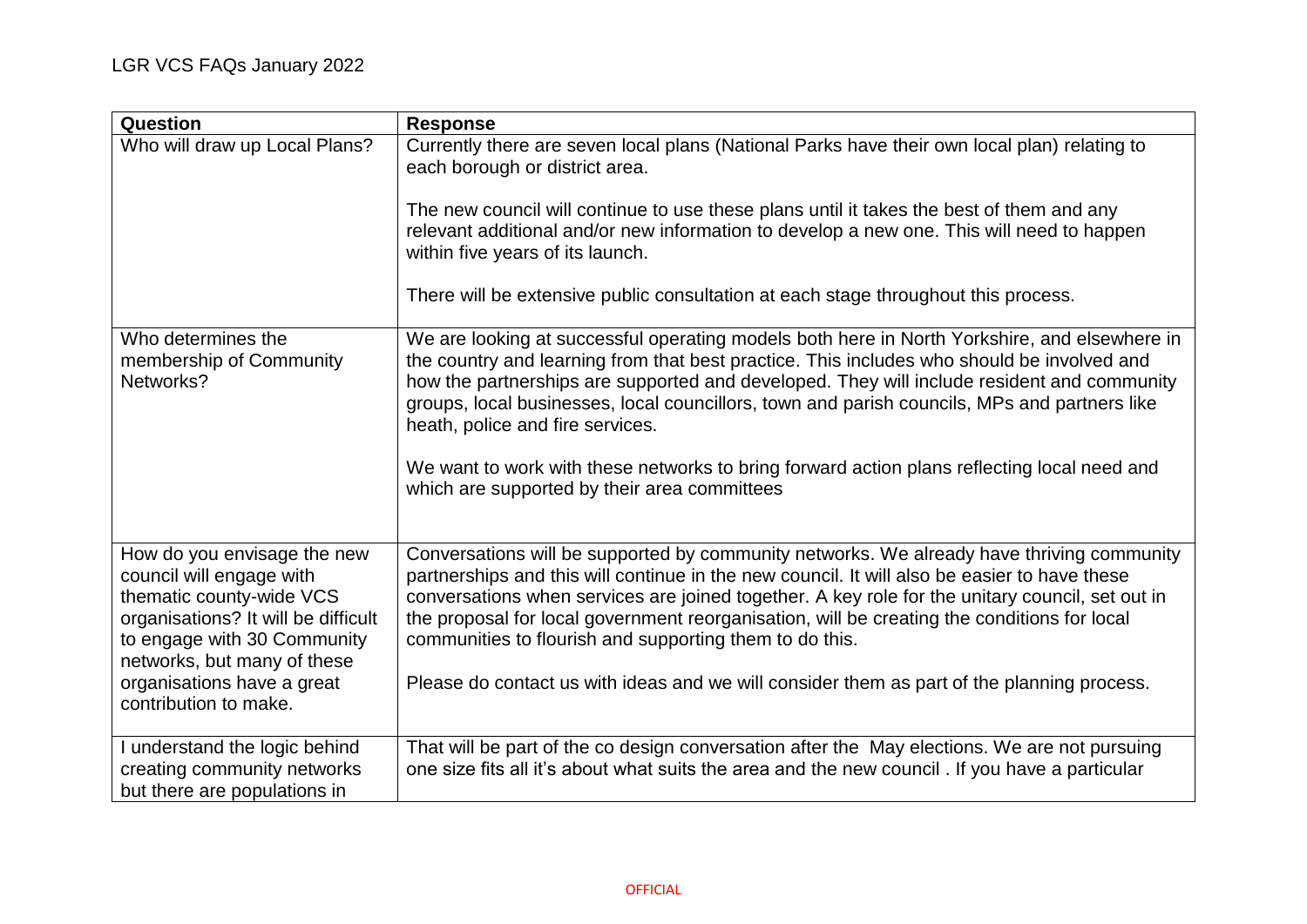| Question                                                                                                                                                                                                                                        | <b>Response</b>                                                                                                                                                                                                                                                                                                                                                                                                                                                                                                                                                             |
|-------------------------------------------------------------------------------------------------------------------------------------------------------------------------------------------------------------------------------------------------|-----------------------------------------------------------------------------------------------------------------------------------------------------------------------------------------------------------------------------------------------------------------------------------------------------------------------------------------------------------------------------------------------------------------------------------------------------------------------------------------------------------------------------------------------------------------------------|
| Who will draw up Local Plans?                                                                                                                                                                                                                   | Currently there are seven local plans (National Parks have their own local plan) relating to<br>each borough or district area.                                                                                                                                                                                                                                                                                                                                                                                                                                              |
|                                                                                                                                                                                                                                                 | The new council will continue to use these plans until it takes the best of them and any<br>relevant additional and/or new information to develop a new one. This will need to happen<br>within five years of its launch.                                                                                                                                                                                                                                                                                                                                                   |
|                                                                                                                                                                                                                                                 | There will be extensive public consultation at each stage throughout this process.                                                                                                                                                                                                                                                                                                                                                                                                                                                                                          |
| Who determines the<br>membership of Community<br>Networks?                                                                                                                                                                                      | We are looking at successful operating models both here in North Yorkshire, and elsewhere in<br>the country and learning from that best practice. This includes who should be involved and<br>how the partnerships are supported and developed. They will include resident and community<br>groups, local businesses, local councillors, town and parish councils, MPs and partners like<br>heath, police and fire services.<br>We want to work with these networks to bring forward action plans reflecting local need and<br>which are supported by their area committees |
| How do you envisage the new<br>council will engage with<br>thematic county-wide VCS<br>organisations? It will be difficult<br>to engage with 30 Community<br>networks, but many of these<br>organisations have a great<br>contribution to make. | Conversations will be supported by community networks. We already have thriving community<br>partnerships and this will continue in the new council. It will also be easier to have these<br>conversations when services are joined together. A key role for the unitary council, set out in<br>the proposal for local government reorganisation, will be creating the conditions for local<br>communities to flourish and supporting them to do this.<br>Please do contact us with ideas and we will consider them as part of the planning process.                        |
| I understand the logic behind<br>creating community networks<br>but there are populations in                                                                                                                                                    | That will be part of the co design conversation after the May elections. We are not pursuing<br>one size fits all it's about what suits the area and the new council . If you have a particular                                                                                                                                                                                                                                                                                                                                                                             |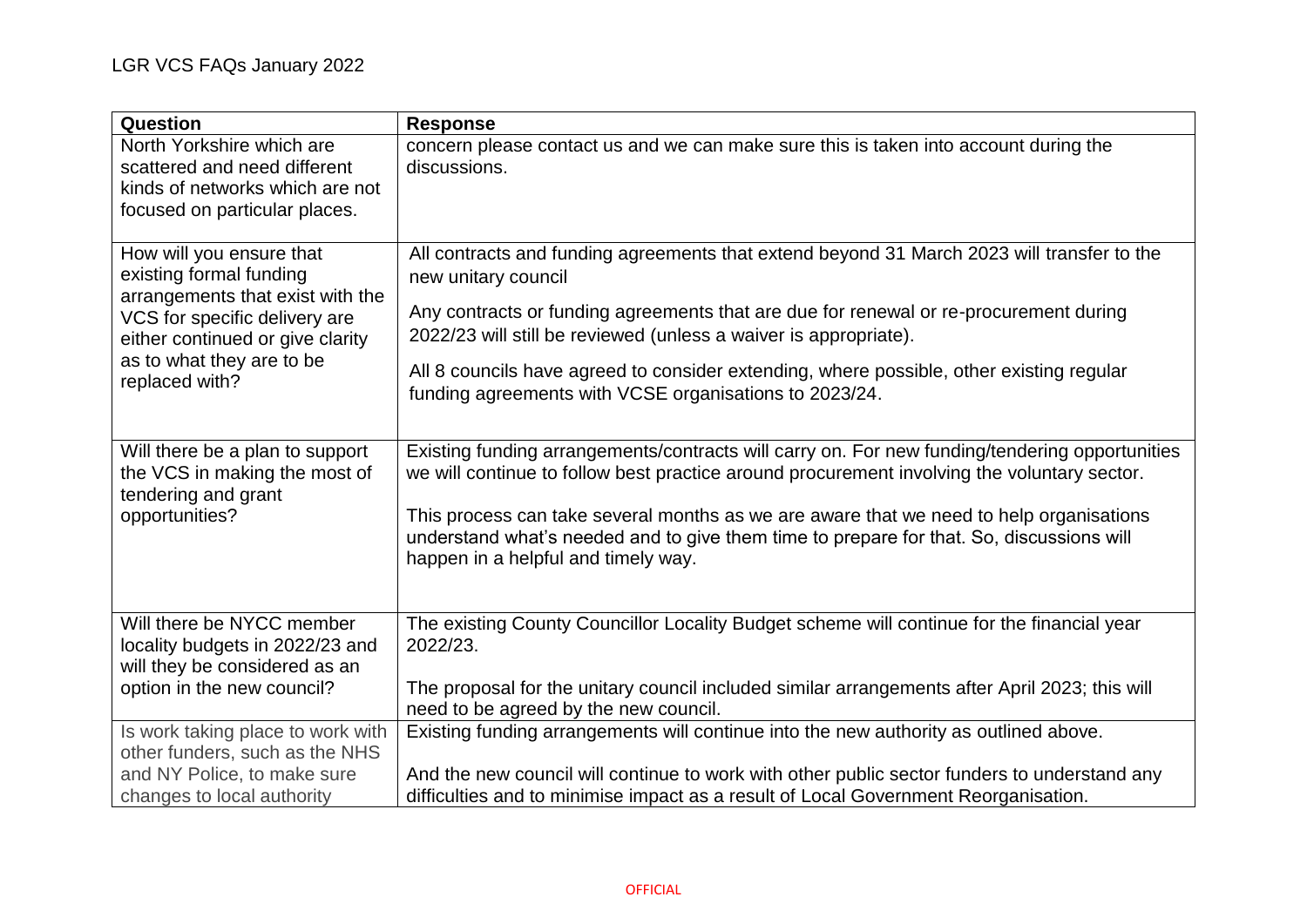| Question                                                                                                                      | <b>Response</b>                                                                                                                                                                                                            |
|-------------------------------------------------------------------------------------------------------------------------------|----------------------------------------------------------------------------------------------------------------------------------------------------------------------------------------------------------------------------|
| North Yorkshire which are<br>scattered and need different<br>kinds of networks which are not<br>focused on particular places. | concern please contact us and we can make sure this is taken into account during the<br>discussions.                                                                                                                       |
| How will you ensure that<br>existing formal funding<br>arrangements that exist with the                                       | All contracts and funding agreements that extend beyond 31 March 2023 will transfer to the<br>new unitary council                                                                                                          |
| VCS for specific delivery are<br>either continued or give clarity<br>as to what they are to be<br>replaced with?              | Any contracts or funding agreements that are due for renewal or re-procurement during<br>2022/23 will still be reviewed (unless a waiver is appropriate).                                                                  |
|                                                                                                                               | All 8 councils have agreed to consider extending, where possible, other existing regular<br>funding agreements with VCSE organisations to 2023/24.                                                                         |
| Will there be a plan to support<br>the VCS in making the most of<br>tendering and grant                                       | Existing funding arrangements/contracts will carry on. For new funding/tendering opportunities<br>we will continue to follow best practice around procurement involving the voluntary sector.                              |
| opportunities?                                                                                                                | This process can take several months as we are aware that we need to help organisations<br>understand what's needed and to give them time to prepare for that. So, discussions will<br>happen in a helpful and timely way. |
| Will there be NYCC member<br>locality budgets in 2022/23 and<br>will they be considered as an                                 | The existing County Councillor Locality Budget scheme will continue for the financial year<br>2022/23.                                                                                                                     |
| option in the new council?                                                                                                    | The proposal for the unitary council included similar arrangements after April 2023; this will<br>need to be agreed by the new council.                                                                                    |
| Is work taking place to work with<br>other funders, such as the NHS                                                           | Existing funding arrangements will continue into the new authority as outlined above.                                                                                                                                      |
| and NY Police, to make sure<br>changes to local authority                                                                     | And the new council will continue to work with other public sector funders to understand any<br>difficulties and to minimise impact as a result of Local Government Reorganisation.                                        |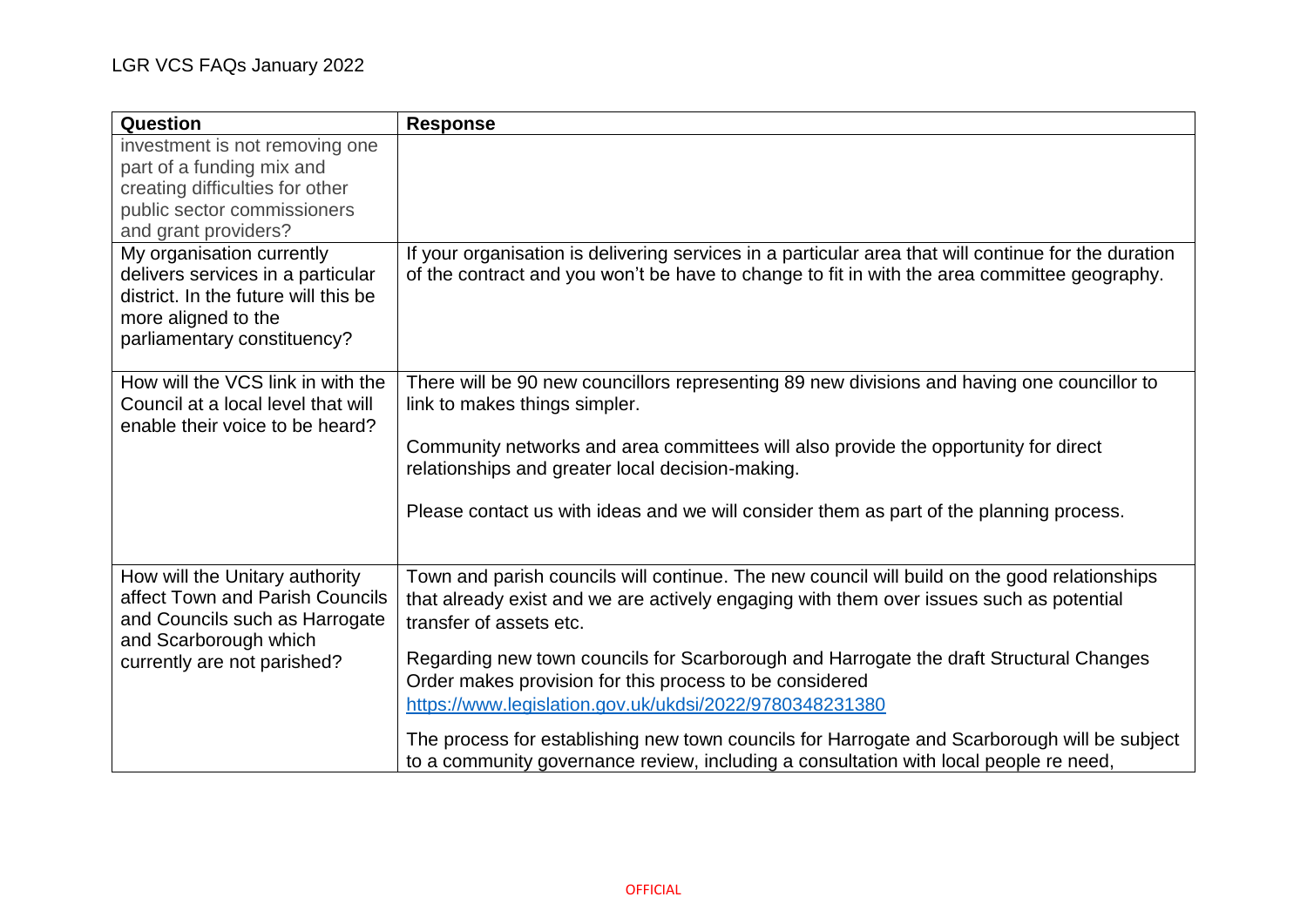| Question                                                                                                                                                     | <b>Response</b>                                                                                                                                                                                                                                                                                                                                                                                                                                                                                                                                                                                                             |
|--------------------------------------------------------------------------------------------------------------------------------------------------------------|-----------------------------------------------------------------------------------------------------------------------------------------------------------------------------------------------------------------------------------------------------------------------------------------------------------------------------------------------------------------------------------------------------------------------------------------------------------------------------------------------------------------------------------------------------------------------------------------------------------------------------|
| investment is not removing one<br>part of a funding mix and<br>creating difficulties for other<br>public sector commissioners<br>and grant providers?        |                                                                                                                                                                                                                                                                                                                                                                                                                                                                                                                                                                                                                             |
| My organisation currently<br>delivers services in a particular<br>district. In the future will this be<br>more aligned to the<br>parliamentary constituency? | If your organisation is delivering services in a particular area that will continue for the duration<br>of the contract and you won't be have to change to fit in with the area committee geography.                                                                                                                                                                                                                                                                                                                                                                                                                        |
| How will the VCS link in with the<br>Council at a local level that will<br>enable their voice to be heard?                                                   | There will be 90 new councillors representing 89 new divisions and having one councillor to<br>link to makes things simpler.<br>Community networks and area committees will also provide the opportunity for direct<br>relationships and greater local decision-making.<br>Please contact us with ideas and we will consider them as part of the planning process.                                                                                                                                                                                                                                                          |
| How will the Unitary authority<br>affect Town and Parish Councils<br>and Councils such as Harrogate<br>and Scarborough which<br>currently are not parished?  | Town and parish councils will continue. The new council will build on the good relationships<br>that already exist and we are actively engaging with them over issues such as potential<br>transfer of assets etc.<br>Regarding new town councils for Scarborough and Harrogate the draft Structural Changes<br>Order makes provision for this process to be considered<br>https://www.legislation.gov.uk/ukdsi/2022/9780348231380<br>The process for establishing new town councils for Harrogate and Scarborough will be subject<br>to a community governance review, including a consultation with local people re need, |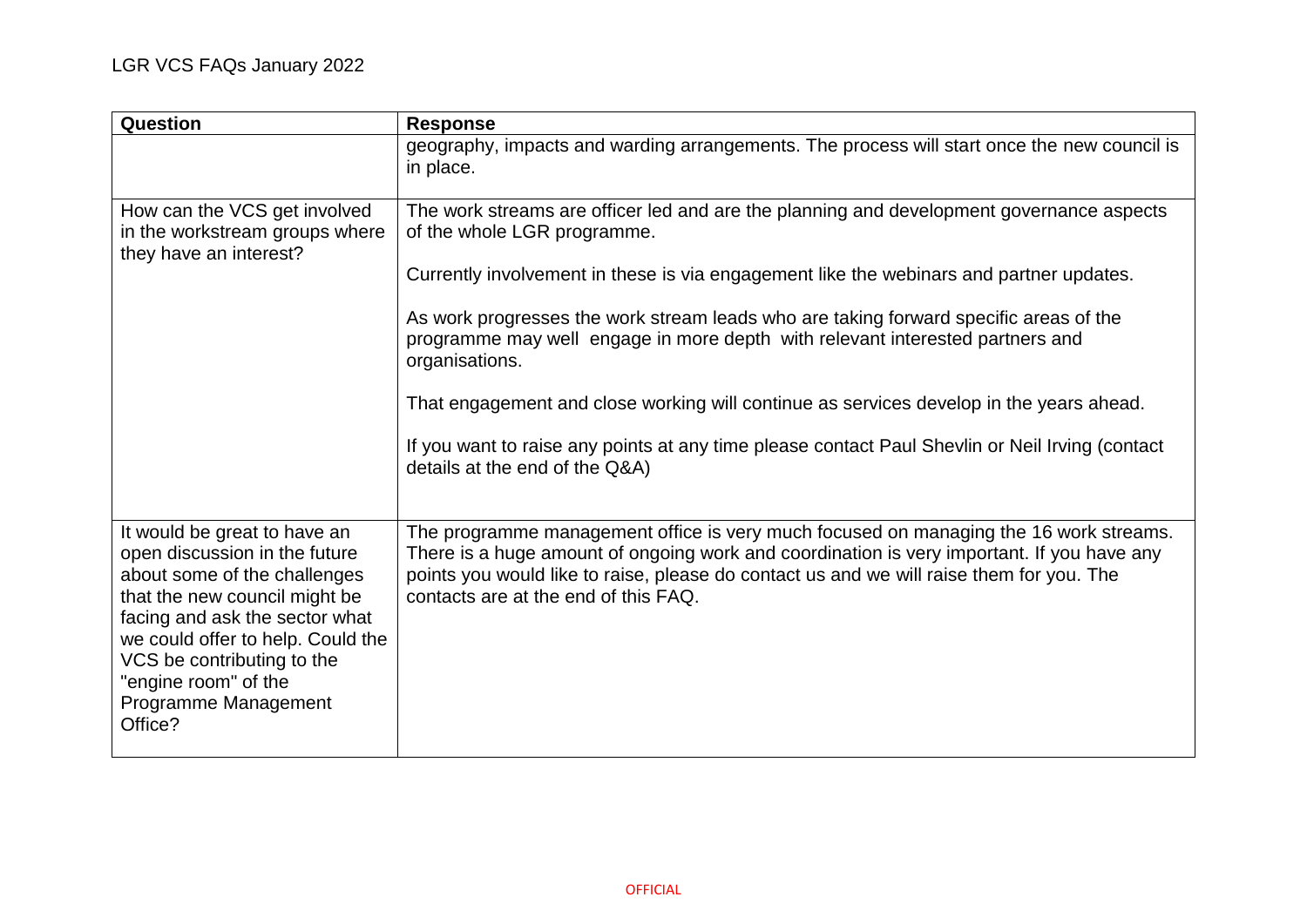| Question                                                                                                                                                                                                                                                                                       | <b>Response</b>                                                                                                                                                                                                                                                                                                         |
|------------------------------------------------------------------------------------------------------------------------------------------------------------------------------------------------------------------------------------------------------------------------------------------------|-------------------------------------------------------------------------------------------------------------------------------------------------------------------------------------------------------------------------------------------------------------------------------------------------------------------------|
|                                                                                                                                                                                                                                                                                                | geography, impacts and warding arrangements. The process will start once the new council is<br>in place.                                                                                                                                                                                                                |
| How can the VCS get involved<br>in the workstream groups where<br>they have an interest?                                                                                                                                                                                                       | The work streams are officer led and are the planning and development governance aspects<br>of the whole LGR programme.                                                                                                                                                                                                 |
|                                                                                                                                                                                                                                                                                                | Currently involvement in these is via engagement like the webinars and partner updates.                                                                                                                                                                                                                                 |
|                                                                                                                                                                                                                                                                                                | As work progresses the work stream leads who are taking forward specific areas of the<br>programme may well engage in more depth with relevant interested partners and<br>organisations.                                                                                                                                |
|                                                                                                                                                                                                                                                                                                | That engagement and close working will continue as services develop in the years ahead.                                                                                                                                                                                                                                 |
|                                                                                                                                                                                                                                                                                                | If you want to raise any points at any time please contact Paul Shevlin or Neil Irving (contact<br>details at the end of the Q&A)                                                                                                                                                                                       |
| It would be great to have an<br>open discussion in the future<br>about some of the challenges<br>that the new council might be<br>facing and ask the sector what<br>we could offer to help. Could the<br>VCS be contributing to the<br>"engine room" of the<br>Programme Management<br>Office? | The programme management office is very much focused on managing the 16 work streams.<br>There is a huge amount of ongoing work and coordination is very important. If you have any<br>points you would like to raise, please do contact us and we will raise them for you. The<br>contacts are at the end of this FAQ. |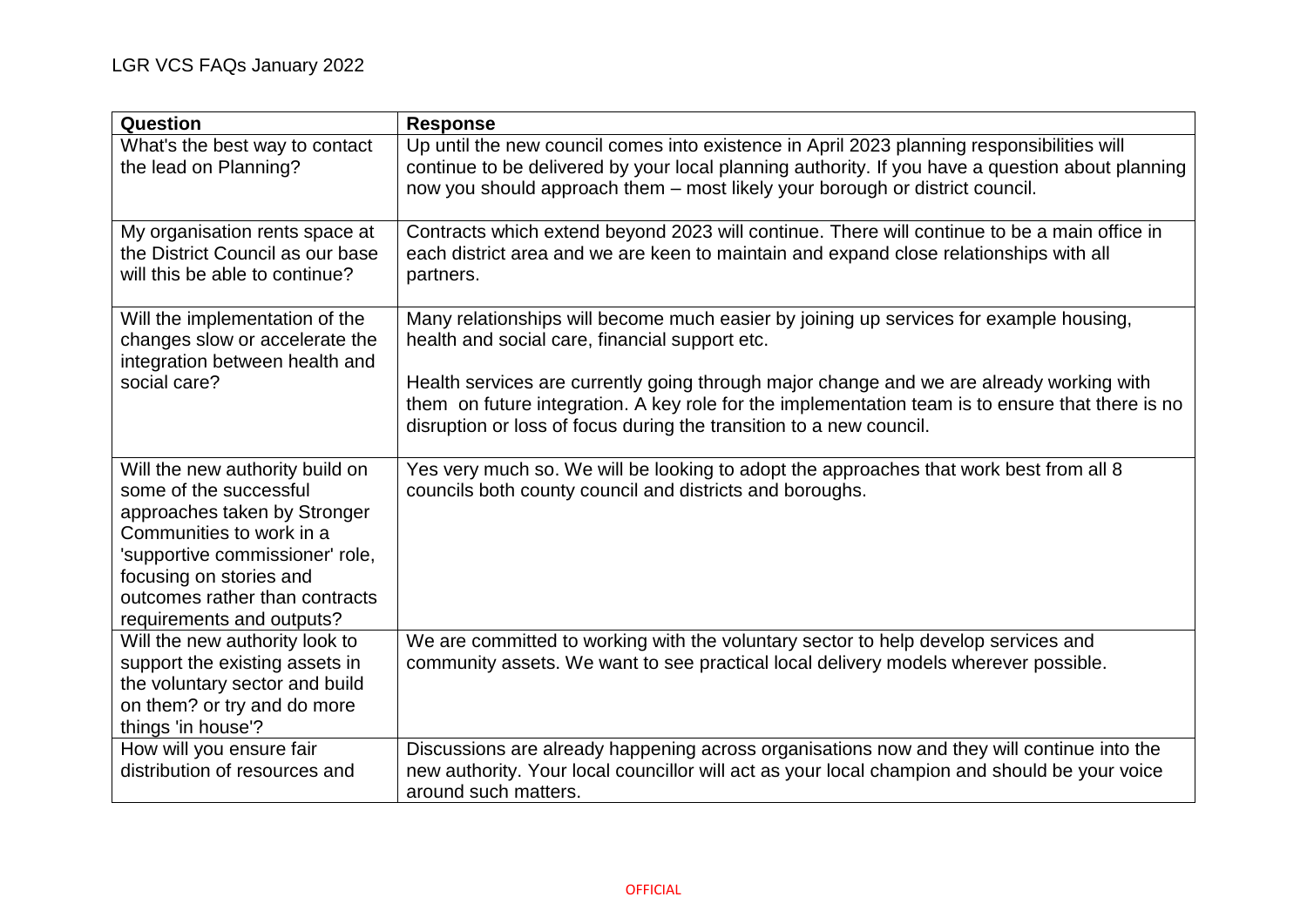| Question                                                                                                                                                                                                                                           | <b>Response</b>                                                                                                                                                                                                                                                                                                                                                                                                 |
|----------------------------------------------------------------------------------------------------------------------------------------------------------------------------------------------------------------------------------------------------|-----------------------------------------------------------------------------------------------------------------------------------------------------------------------------------------------------------------------------------------------------------------------------------------------------------------------------------------------------------------------------------------------------------------|
| What's the best way to contact<br>the lead on Planning?                                                                                                                                                                                            | Up until the new council comes into existence in April 2023 planning responsibilities will<br>continue to be delivered by your local planning authority. If you have a question about planning<br>now you should approach them - most likely your borough or district council.                                                                                                                                  |
| My organisation rents space at<br>the District Council as our base<br>will this be able to continue?                                                                                                                                               | Contracts which extend beyond 2023 will continue. There will continue to be a main office in<br>each district area and we are keen to maintain and expand close relationships with all<br>partners.                                                                                                                                                                                                             |
| Will the implementation of the<br>changes slow or accelerate the<br>integration between health and<br>social care?                                                                                                                                 | Many relationships will become much easier by joining up services for example housing,<br>health and social care, financial support etc.<br>Health services are currently going through major change and we are already working with<br>them on future integration. A key role for the implementation team is to ensure that there is no<br>disruption or loss of focus during the transition to a new council. |
| Will the new authority build on<br>some of the successful<br>approaches taken by Stronger<br>Communities to work in a<br>'supportive commissioner' role,<br>focusing on stories and<br>outcomes rather than contracts<br>requirements and outputs? | Yes very much so. We will be looking to adopt the approaches that work best from all 8<br>councils both county council and districts and boroughs.                                                                                                                                                                                                                                                              |
| Will the new authority look to<br>support the existing assets in<br>the voluntary sector and build<br>on them? or try and do more<br>things 'in house'?                                                                                            | We are committed to working with the voluntary sector to help develop services and<br>community assets. We want to see practical local delivery models wherever possible.                                                                                                                                                                                                                                       |
| How will you ensure fair<br>distribution of resources and                                                                                                                                                                                          | Discussions are already happening across organisations now and they will continue into the<br>new authority. Your local councillor will act as your local champion and should be your voice<br>around such matters.                                                                                                                                                                                             |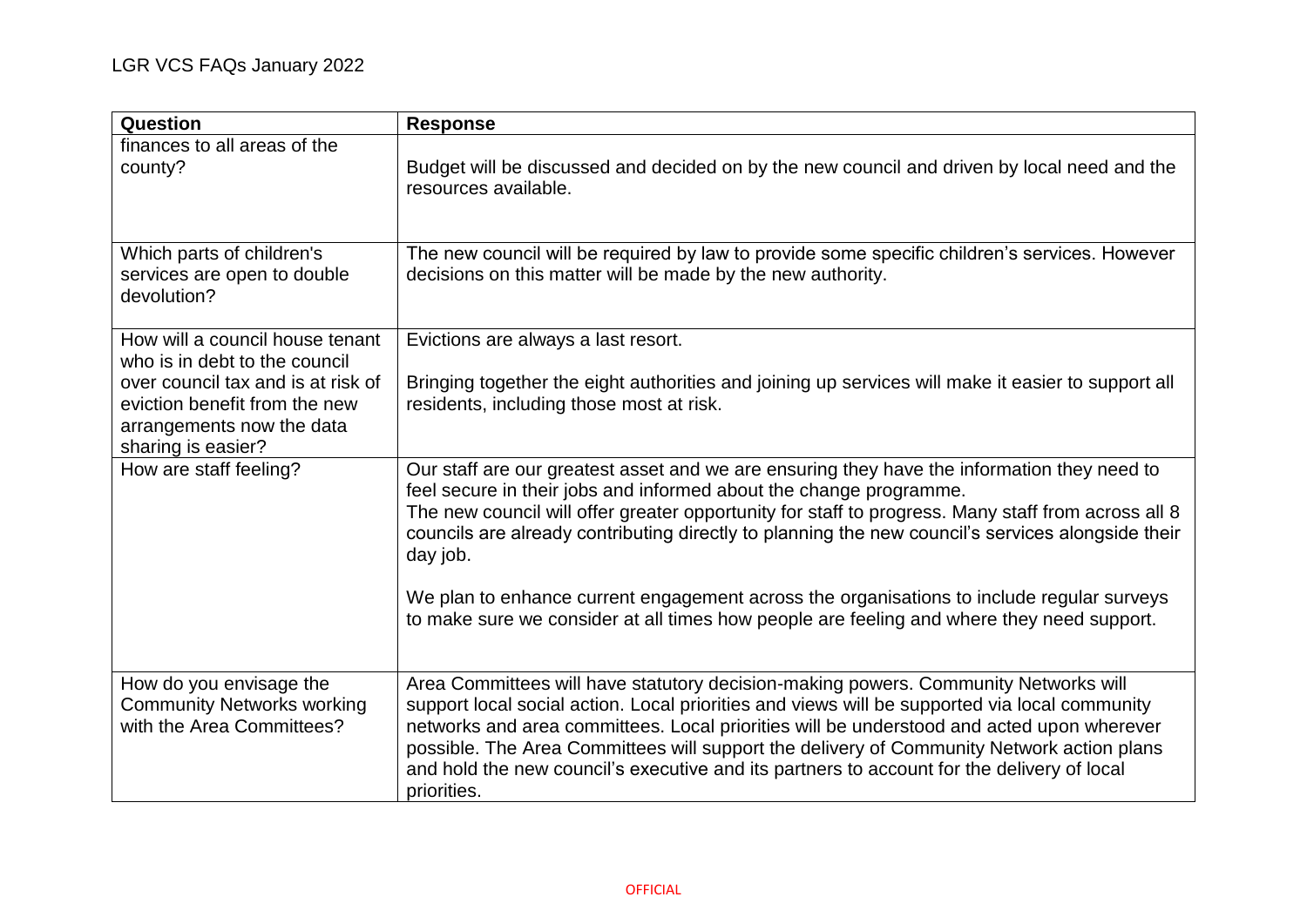| Question                                                                                                                                                                                   | <b>Response</b>                                                                                                                                                                                                                                                                                                                                                                                                                                                                                                                                                                    |
|--------------------------------------------------------------------------------------------------------------------------------------------------------------------------------------------|------------------------------------------------------------------------------------------------------------------------------------------------------------------------------------------------------------------------------------------------------------------------------------------------------------------------------------------------------------------------------------------------------------------------------------------------------------------------------------------------------------------------------------------------------------------------------------|
| finances to all areas of the<br>county?                                                                                                                                                    | Budget will be discussed and decided on by the new council and driven by local need and the<br>resources available.                                                                                                                                                                                                                                                                                                                                                                                                                                                                |
| Which parts of children's<br>services are open to double<br>devolution?                                                                                                                    | The new council will be required by law to provide some specific children's services. However<br>decisions on this matter will be made by the new authority.                                                                                                                                                                                                                                                                                                                                                                                                                       |
| How will a council house tenant<br>who is in debt to the council<br>over council tax and is at risk of<br>eviction benefit from the new<br>arrangements now the data<br>sharing is easier? | Evictions are always a last resort.<br>Bringing together the eight authorities and joining up services will make it easier to support all<br>residents, including those most at risk.                                                                                                                                                                                                                                                                                                                                                                                              |
| How are staff feeling?                                                                                                                                                                     | Our staff are our greatest asset and we are ensuring they have the information they need to<br>feel secure in their jobs and informed about the change programme.<br>The new council will offer greater opportunity for staff to progress. Many staff from across all 8<br>councils are already contributing directly to planning the new council's services alongside their<br>day job.<br>We plan to enhance current engagement across the organisations to include regular surveys<br>to make sure we consider at all times how people are feeling and where they need support. |
| How do you envisage the<br><b>Community Networks working</b><br>with the Area Committees?                                                                                                  | Area Committees will have statutory decision-making powers. Community Networks will<br>support local social action. Local priorities and views will be supported via local community<br>networks and area committees. Local priorities will be understood and acted upon wherever<br>possible. The Area Committees will support the delivery of Community Network action plans<br>and hold the new council's executive and its partners to account for the delivery of local<br>priorities.                                                                                        |